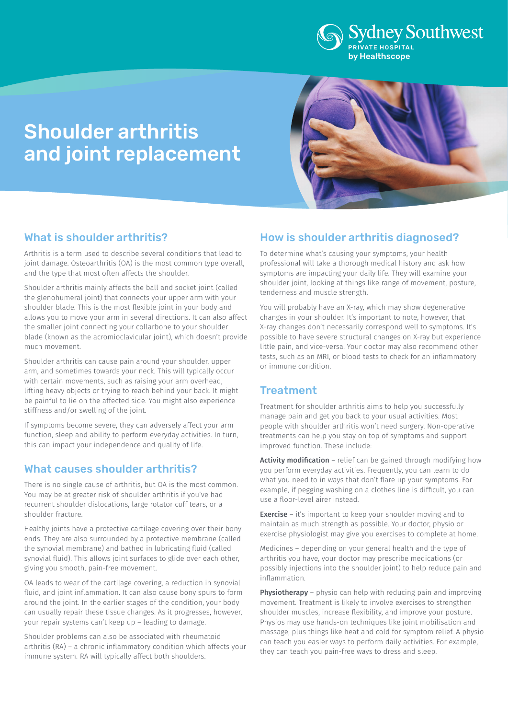

# Shoulder arthritis and joint replacement



## What is shoulder arthritis?

Arthritis is a term used to describe several conditions that lead to joint damage. Osteoarthritis (OA) is the most common type overall, and the type that most often affects the shoulder.

Shoulder arthritis mainly affects the ball and socket joint (called the glenohumeral joint) that connects your upper arm with your shoulder blade. This is the most flexible joint in your body and allows you to move your arm in several directions. It can also affect the smaller joint connecting your collarbone to your shoulder blade (known as the acromioclavicular joint), which doesn't provide much movement.

Shoulder arthritis can cause pain around your shoulder, upper arm, and sometimes towards your neck. This will typically occur with certain movements, such as raising your arm overhead, lifting heavy objects or trying to reach behind your back. It might be painful to lie on the affected side. You might also experience stiffness and/or swelling of the joint.

If symptoms become severe, they can adversely affect your arm function, sleep and ability to perform everyday activities. In turn, this can impact your independence and quality of life.

## What causes shoulder arthritis?

There is no single cause of arthritis, but OA is the most common. You may be at greater risk of shoulder arthritis if you've had recurrent shoulder dislocations, large rotator cuff tears, or a shoulder fracture.

Healthy joints have a protective cartilage covering over their bony ends. They are also surrounded by a protective membrane (called the synovial membrane) and bathed in lubricating fluid (called synovial fluid). This allows joint surfaces to glide over each other, giving you smooth, pain-free movement.

OA leads to wear of the cartilage covering, a reduction in synovial fluid, and joint inflammation. It can also cause bony spurs to form around the joint. In the earlier stages of the condition, your body can usually repair these tissue changes. As it progresses, however, your repair systems can't keep up – leading to damage.

Shoulder problems can also be associated with rheumatoid arthritis (RA) – a chronic inflammatory condition which affects your immune system. RA will typically affect both shoulders.

## How is shoulder arthritis diagnosed?

To determine what's causing your symptoms, your health professional will take a thorough medical history and ask how symptoms are impacting your daily life. They will examine your shoulder joint, looking at things like range of movement, posture, tenderness and muscle strength.

You will probably have an X-ray, which may show degenerative changes in your shoulder. It's important to note, however, that X-ray changes don't necessarily correspond well to symptoms. It's possible to have severe structural changes on X-ray but experience little pain, and vice-versa. Your doctor may also recommend other tests, such as an MRI, or blood tests to check for an inflammatory or immune condition.

## Treatment

Treatment for shoulder arthritis aims to help you successfully manage pain and get you back to your usual activities. Most people with shoulder arthritis won't need surgery. Non-operative treatments can help you stay on top of symptoms and support improved function. These include:

Activity modification – relief can be gained through modifying how you perform everyday activities. Frequently, you can learn to do what you need to in ways that don't flare up your symptoms. For example, if pegging washing on a clothes line is difficult, you can use a floor-level airer instead.

**Exercise** – it's important to keep your shoulder moving and to maintain as much strength as possible. Your doctor, physio or exercise physiologist may give you exercises to complete at home.

Medicines – depending on your general health and the type of arthritis you have, your doctor may prescribe medications (or possibly injections into the shoulder joint) to help reduce pain and inflammation.

Physiotherapy – physio can help with reducing pain and improving movement. Treatment is likely to involve exercises to strengthen shoulder muscles, increase flexibility, and improve your posture. Physios may use hands-on techniques like joint mobilisation and massage, plus things like heat and cold for symptom relief. A physio can teach you easier ways to perform daily activities. For example, they can teach you pain-free ways to dress and sleep.